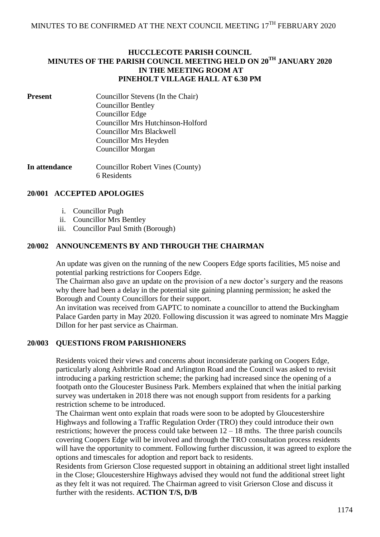## **HUCCLECOTE PARISH COUNCIL MINUTES OF THE PARISH COUNCIL MEETING HELD ON 20TH JANUARY 2020 IN THE MEETING ROOM AT PINEHOLT VILLAGE HALL AT 6.30 PM**

**Present** Councillor Stevens (In the Chair) Councillor Bentley Councillor Edge Councillor Mrs Hutchinson-Holford Councillor Mrs Blackwell Councillor Mrs Heyden Councillor Morgan

**In attendance** Councillor Robert Vines (County) 6 Residents

## **20/001 ACCEPTED APOLOGIES**

- i. Councillor Pugh
- ii. Councillor Mrs Bentley
- iii. Councillor Paul Smith (Borough)

## **20/002 ANNOUNCEMENTS BY AND THROUGH THE CHAIRMAN**

An update was given on the running of the new Coopers Edge sports facilities, M5 noise and potential parking restrictions for Coopers Edge.

The Chairman also gave an update on the provision of a new doctor's surgery and the reasons why there had been a delay in the potential site gaining planning permission; he asked the Borough and County Councillors for their support.

An invitation was received from GAPTC to nominate a councillor to attend the Buckingham Palace Garden party in May 2020. Following discussion it was agreed to nominate Mrs Maggie Dillon for her past service as Chairman.

# **20/003 QUESTIONS FROM PARISHIONERS**

Residents voiced their views and concerns about inconsiderate parking on Coopers Edge, particularly along Ashbrittle Road and Arlington Road and the Council was asked to revisit introducing a parking restriction scheme; the parking had increased since the opening of a footpath onto the Gloucester Business Park. Members explained that when the initial parking survey was undertaken in 2018 there was not enough support from residents for a parking restriction scheme to be introduced.

The Chairman went onto explain that roads were soon to be adopted by Gloucestershire Highways and following a Traffic Regulation Order (TRO) they could introduce their own restrictions; however the process could take between  $12 - 18$  mths. The three parish councils covering Coopers Edge will be involved and through the TRO consultation process residents will have the opportunity to comment. Following further discussion, it was agreed to explore the options and timescales for adoption and report back to residents.

Residents from Grierson Close requested support in obtaining an additional street light installed in the Close; Gloucestershire Highways advised they would not fund the additional street light as they felt it was not required. The Chairman agreed to visit Grierson Close and discuss it further with the residents. **ACTION T/S, D/B**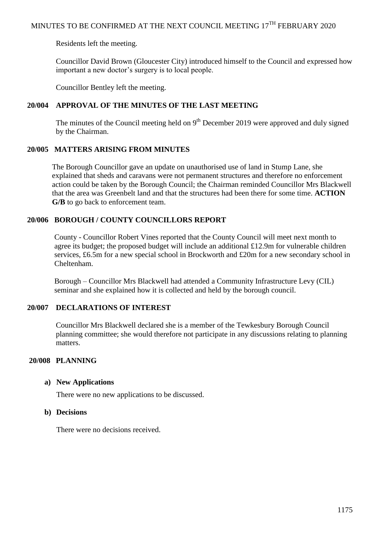Residents left the meeting.

Councillor David Brown (Gloucester City) introduced himself to the Council and expressed how important a new doctor's surgery is to local people.

Councillor Bentley left the meeting.

## **20/004 APPROVAL OF THE MINUTES OF THE LAST MEETING**

The minutes of the Council meeting held on  $9<sup>th</sup>$  December 2019 were approved and duly signed by the Chairman.

## **20/005 MATTERS ARISING FROM MINUTES**

The Borough Councillor gave an update on unauthorised use of land in Stump Lane, she explained that sheds and caravans were not permanent structures and therefore no enforcement action could be taken by the Borough Council; the Chairman reminded Councillor Mrs Blackwell that the area was Greenbelt land and that the structures had been there for some time. **ACTION G/B** to go back to enforcement team.

## **20/006 BOROUGH / COUNTY COUNCILLORS REPORT**

County - Councillor Robert Vines reported that the County Council will meet next month to agree its budget; the proposed budget will include an additional £12.9m for vulnerable children services, £6.5m for a new special school in Brockworth and £20m for a new secondary school in Cheltenham.

Borough – Councillor Mrs Blackwell had attended a Community Infrastructure Levy (CIL) seminar and she explained how it is collected and held by the borough council.

## **20/007 DECLARATIONS OF INTEREST**

Councillor Mrs Blackwell declared she is a member of the Tewkesbury Borough Council planning committee; she would therefore not participate in any discussions relating to planning matters.

#### **20/008 PLANNING**

#### **a) New Applications**

There were no new applications to be discussed.

#### **b) Decisions**

There were no decisions received.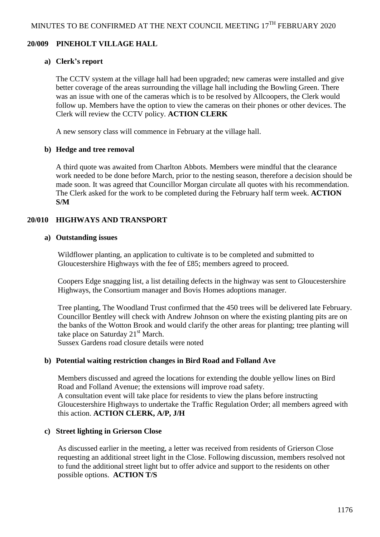### **20/009 PINEHOLT VILLAGE HALL**

#### **a) Clerk's report**

The CCTV system at the village hall had been upgraded; new cameras were installed and give better coverage of the areas surrounding the village hall including the Bowling Green. There was an issue with one of the cameras which is to be resolved by Allcoopers, the Clerk would follow up. Members have the option to view the cameras on their phones or other devices. The Clerk will review the CCTV policy. **ACTION CLERK**

A new sensory class will commence in February at the village hall.

#### **b) Hedge and tree removal**

A third quote was awaited from Charlton Abbots. Members were mindful that the clearance work needed to be done before March, prior to the nesting season, therefore a decision should be made soon. It was agreed that Councillor Morgan circulate all quotes with his recommendation. The Clerk asked for the work to be completed during the February half term week. **ACTION S/M**

## **20/010 HIGHWAYS AND TRANSPORT**

#### **a) Outstanding issues**

Wildflower planting, an application to cultivate is to be completed and submitted to Gloucestershire Highways with the fee of £85; members agreed to proceed.

Coopers Edge snagging list, a list detailing defects in the highway was sent to Gloucestershire Highways, the Consortium manager and Bovis Homes adoptions manager.

Tree planting, The Woodland Trust confirmed that the 450 trees will be delivered late February. Councillor Bentley will check with Andrew Johnson on where the existing planting pits are on the banks of the Wotton Brook and would clarify the other areas for planting; tree planting will take place on Saturday  $21<sup>st</sup>$  March.

Sussex Gardens road closure details were noted

## **b) Potential waiting restriction changes in Bird Road and Folland Ave**

Members discussed and agreed the locations for extending the double yellow lines on Bird Road and Folland Avenue; the extensions will improve road safety. A consultation event will take place for residents to view the plans before instructing Gloucestershire Highways to undertake the Traffic Regulation Order; all members agreed with this action. **ACTION CLERK, A/P, J/H**

#### **c) Street lighting in Grierson Close**

As discussed earlier in the meeting, a letter was received from residents of Grierson Close requesting an additional street light in the Close. Following discussion, members resolved not to fund the additional street light but to offer advice and support to the residents on other possible options. **ACTION T/S**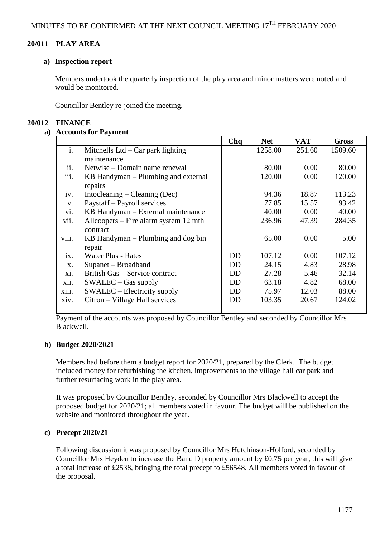## **20/011 PLAY AREA**

#### **a) Inspection report**

Members undertook the quarterly inspection of the play area and minor matters were noted and would be monitored.

Councillor Bentley re-joined the meeting.

### **20/012 FINANCE**

### **a) Accounts for Payment**

|                |                                       | Chq | <b>Net</b> | <b>VAT</b> | <b>Gross</b> |
|----------------|---------------------------------------|-----|------------|------------|--------------|
| $\mathbf{i}$ . | Mitchells Ltd $-$ Car park lighting   |     | 1258.00    | 251.60     | 1509.60      |
|                | maintenance                           |     |            |            |              |
| ii.            | Netwise – Domain name renewal         |     | 80.00      | 0.00       | 80.00        |
| iii.           | KB Handyman – Plumbing and external   |     | 120.00     | 0.00       | 120.00       |
|                | repairs                               |     |            |            |              |
| iv.            | Intocleaning $-$ Cleaning (Dec)       |     | 94.36      | 18.87      | 113.23       |
| $V_{\bullet}$  | Paystaff - Payroll services           |     | 77.85      | 15.57      | 93.42        |
| vi.            | KB Handyman – External maintenance    |     | 40.00      | 0.00       | 40.00        |
| vii.           | Allcoopers – Fire alarm system 12 mth |     | 236.96     | 47.39      | 284.35       |
|                | contract                              |     |            |            |              |
| viii.          | KB Handyman – Plumbing and dog bin    |     | 65.00      | 0.00       | 5.00         |
|                | repair                                |     |            |            |              |
| ix.            | <b>Water Plus - Rates</b>             | DD  | 107.12     | 0.00       | 107.12       |
| X.             | Supanet – Broadband                   | DD. | 24.15      | 4.83       | 28.98        |
| X1.            | British Gas – Service contract        | DD  | 27.28      | 5.46       | 32.14        |
| xii.           | $SWALEC - Gas$ supply                 | DD  | 63.18      | 4.82       | 68.00        |
| xiii.          | SWALEC – Electricity supply           | DD. | 75.97      | 12.03      | 88.00        |
| xiv.           | Citron – Village Hall services        | DD  | 103.35     | 20.67      | 124.02       |
|                |                                       |     |            |            |              |

Payment of the accounts was proposed by Councillor Bentley and seconded by Councillor Mrs Blackwell.

## **b) Budget 2020/2021**

Members had before them a budget report for 2020/21, prepared by the Clerk. The budget included money for refurbishing the kitchen, improvements to the village hall car park and further resurfacing work in the play area.

It was proposed by Councillor Bentley, seconded by Councillor Mrs Blackwell to accept the proposed budget for 2020/21; all members voted in favour. The budget will be published on the website and monitored throughout the year.

#### **c) Precept 2020/21**

Following discussion it was proposed by Councillor Mrs Hutchinson-Holford, seconded by Councillor Mrs Heyden to increase the Band D property amount by £0.75 per year, this will give a total increase of £2538, bringing the total precept to £56548. All members voted in favour of the proposal.